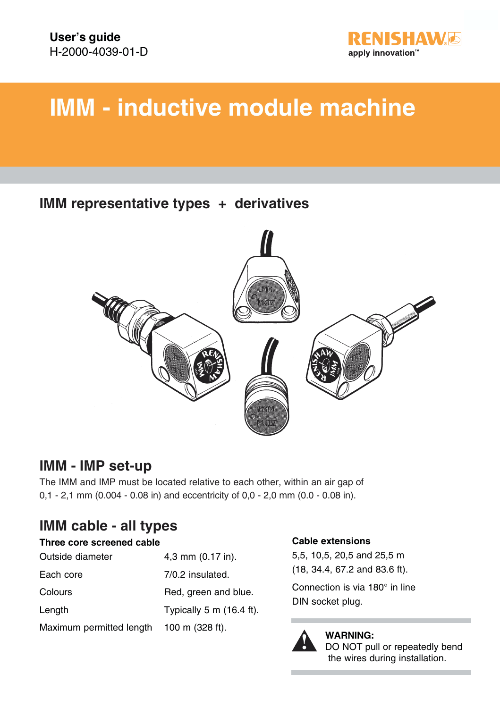

# **IMM - inductive module machine**

### **IMM representative types + derivatives**



### **IMM - IMP set-up**

The IMM and IMP must be located relative to each other, within an air gap of 0,1 - 2,1 mm (0.004 - 0.08 in) and eccentricity of 0,0 - 2,0 mm (0.0 - 0.08 in).

### **IMM cable - all types**

| Three core screened cable |                                     |  |
|---------------------------|-------------------------------------|--|
| Outside diameter          | $4,3$ mm $(0.17$ in).               |  |
| Each core                 | 7/0.2 insulated.                    |  |
| Colours                   | Red, green and blue.                |  |
| Length                    | Typically 5 m $(16.4 \text{ ft})$ . |  |
| Maximum permitted length  | 100 m (328 ft).                     |  |

### **Cable extensions**

5,5, 10,5, 20,5 and 25,5 m (18, 34.4, 67.2 and 83.6 ft). Connection is via 180° in line DIN socket plug.



**WARNING:**<br>
DO NOT pull or repeatedly bend the wires during installation.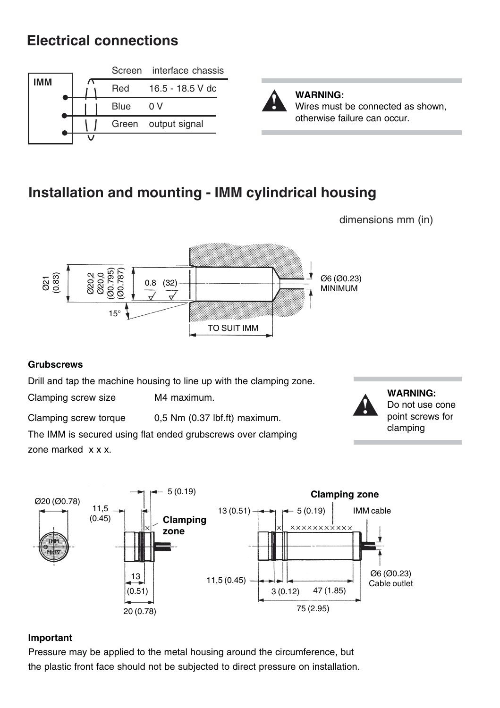### **Electrical connections**





### **Installation and mounting - IMM cylindrical housing**



#### **Grubscrews**

Drill and tap the machine housing to line up with the clamping zone.

Clamping screw size M4 maximum.

Clamping screw torque 0,5 Nm (0.37 lbf.ft) maximum.

The IMM is secured using flat ended grubscrews over clamping zone marked x x x.



dimensions mm (in)

5 (0.19) **Clamping zone**  $\rightarrow$  5 (0.19) **Clamping zone** 11,5 IMM cable 13 (0.51) 5 (0.19) (0.45) **Clamping** xxxxxxxxxxx **zone** Ø6 (Ø0.23)  $13$  11,5 (0.45)  $\rightarrow$   $\rightarrow$   $\rightarrow$   $\rightarrow$   $\rightarrow$  Cable outlet 11,5 (0.45) (0.51) 3 (0.12) 47 (1.85) 75 (2.95) 20 (0.78)

#### **Important**

Pressure may be applied to the metal housing around the circumference, but the plastic front face should not be subjected to direct pressure on installation.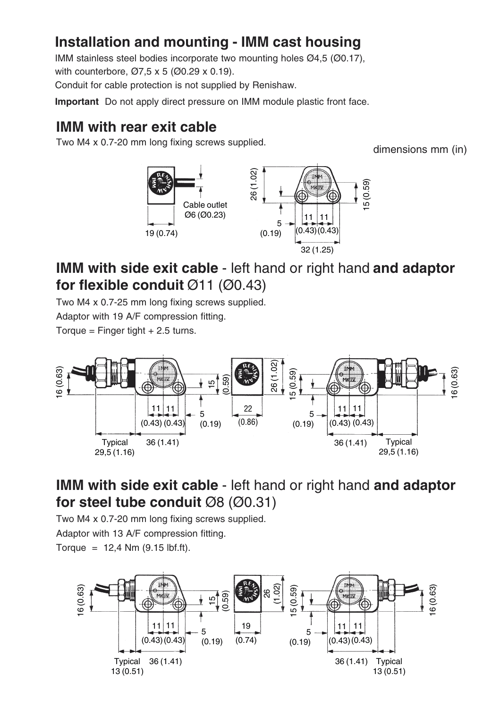## **Installation and mounting - IMM cast housing**

IMM stainless steel bodies incorporate two mounting holes Ø4,5 (Ø0.17),

with counterbore,  $\varnothing$ 7,5 x 5 ( $\varnothing$ 0.29 x 0.19).

Conduit for cable protection is not supplied by Renishaw.

**Important** Do not apply direct pressure on IMM module plastic front face.

### **IMM with rear exit cable**

Two M4 x 0.7-20 mm long fixing screws supplied.

dimensions mm (in)



### **IMM with side exit cable** - left hand or right hand **and adaptor for flexible conduit** Ø11 (Ø0.43)

Two M4 x 0.7-25 mm long fixing screws supplied. Adaptor with 19 A/F compression fitting. Torque =  $Finger$  tight + 2.5 turns.



### **IMM with side exit cable** - left hand or right hand **and adaptor for steel tube conduit** Ø8 (Ø0.31)

Two M4 x 0.7-20 mm long fixing screws supplied. Adaptor with 13 A/F compression fitting. Torque =  $12,4$  Nm (9.15 lbf.ft).